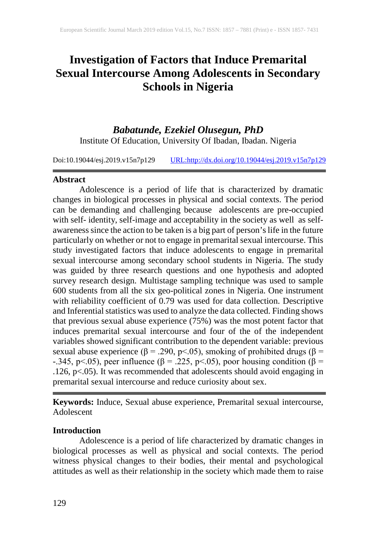# **Investigation of Factors that Induce Premarital Sexual Intercourse Among Adolescents in Secondary Schools in Nigeria**

# *Babatunde, Ezekiel Olusegun, PhD* Institute Of Education, University Of Ibadan, Ibadan. Nigeria

Doi:10.19044/esj.2019.v15n7p129 [URL:http://dx.doi.org/10.19044/esj.2019.v15n7p129](http://dx.doi.org/10.19044/esj.2019.v15n7p129)

#### **Abstract**

Adolescence is a period of life that is characterized by dramatic changes in biological processes in physical and social contexts. The period can be demanding and challenging because adolescents are pre-occupied with self- identity, self-image and acceptability in the society as well as selfawareness since the action to be taken is a big part of person's life in the future particularly on whether or not to engage in premarital sexual intercourse. This study investigated factors that induce adolescents to engage in premarital sexual intercourse among secondary school students in Nigeria. The study was guided by three research questions and one hypothesis and adopted survey research design. Multistage sampling technique was used to sample 600 students from all the six geo-political zones in Nigeria. One instrument with reliability coefficient of 0.79 was used for data collection. Descriptive and Inferential statistics was used to analyze the data collected. Finding shows that previous sexual abuse experience (75%) was the most potent factor that induces premarital sexual intercourse and four of the of the independent variables showed significant contribution to the dependent variable: previous sexual abuse experience (β = .290, p < .05), smoking of prohibited drugs (β = -.345, p<.05), peer influence (β = .225, p<.05), poor housing condition (β = .126, p<.05). It was recommended that adolescents should avoid engaging in premarital sexual intercourse and reduce curiosity about sex.

**Keywords:** Induce, Sexual abuse experience, Premarital sexual intercourse, Adolescent

### **Introduction**

Adolescence is a period of life characterized by dramatic changes in biological processes as well as physical and social contexts. The period witness physical changes to their bodies, their mental and psychological attitudes as well as their relationship in the society which made them to raise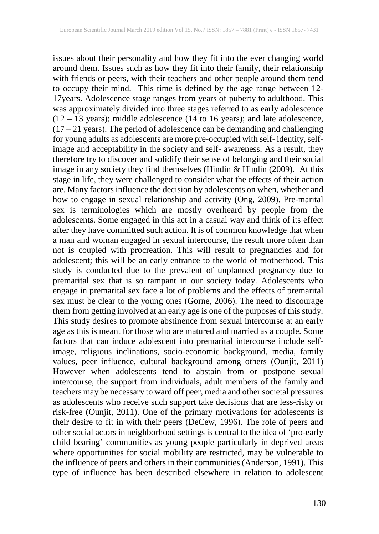issues about their personality and how they fit into the ever changing world around them. Issues such as how they fit into their family, their relationship with friends or peers, with their teachers and other people around them tend to occupy their mind. This time is defined by the age range between 12- 17years. Adolescence stage ranges from years of puberty to adulthood. This was approximately divided into three stages referred to as early adolescence (12 – 13 years); middle adolescence (14 to 16 years); and late adolescence,  $(17 – 21$  years). The period of adolescence can be demanding and challenging for young adults as adolescents are more pre-occupied with self- identity, selfimage and acceptability in the society and self- awareness. As a result, they therefore try to discover and solidify their sense of belonging and their social image in any society they find themselves (Hindin & Hindin (2009). At this stage in life, they were challenged to consider what the effects of their action are. Many factors influence the decision by adolescents on when, whether and how to engage in sexual relationship and activity (Ong, 2009). Pre-marital sex is terminologies which are mostly overheard by people from the adolescents. Some engaged in this act in a casual way and think of its effect after they have committed such action. It is of common knowledge that when a man and woman engaged in sexual intercourse, the result more often than not is coupled with procreation. This will result to pregnancies and for adolescent; this will be an early entrance to the world of motherhood. This study is conducted due to the prevalent of unplanned pregnancy due to premarital sex that is so rampant in our society today. Adolescents who engage in premarital sex face a lot of problems and the effects of premarital sex must be clear to the young ones (Gorne, 2006). The need to discourage them from getting involved at an early age is one of the purposes of this study. This study desires to promote abstinence from sexual intercourse at an early age as this is meant for those who are matured and married as a couple. Some factors that can induce adolescent into premarital intercourse include selfimage, religious inclinations, socio-economic background, media, family values, peer influence, cultural background among others (Ounjit, 2011) However when adolescents tend to abstain from or postpone sexual intercourse, the support from individuals, adult members of the family and teachers may be necessary to ward off peer, media and other societal pressures as adolescents who receive such support take decisions that are less-risky or risk-free (Ounjit, 2011). One of the primary motivations for adolescents is their desire to fit in with their peers (DeCew, 1996). The role of peers and other social actors in neighborhood settings is central to the idea of 'pro-early child bearing' communities as young people particularly in deprived areas where opportunities for social mobility are restricted, may be vulnerable to the influence of peers and others in their communities (Anderson, 1991). This type of influence has been described elsewhere in relation to adolescent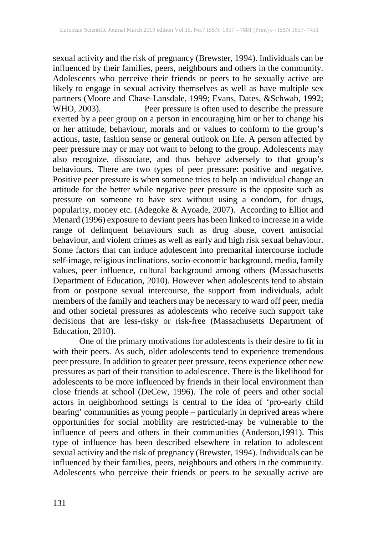sexual activity and the risk of pregnancy (Brewster, 1994). Individuals can be influenced by their families, peers, neighbours and others in the community. Adolescents who perceive their friends or peers to be sexually active are likely to engage in sexual activity themselves as well as have multiple sex partners (Moore and Chase-Lansdale, 1999; Evans, Dates, &Schwab, 1992; WHO, 2003). Peer pressure is often used to describe the pressure exerted by a peer group on a person in encouraging him or her to change his or her attitude, behaviour, morals and or values to conform to the group's actions, taste, fashion sense or general outlook on life. A person affected by peer pressure may or may not want to belong to the group. Adolescents may also recognize, dissociate, and thus behave adversely to that group's behaviours. There are two types of peer pressure: positive and negative. Positive peer pressure is when someone tries to help an individual change an attitude for the better while negative peer pressure is the opposite such as pressure on someone to have sex without using a condom, for drugs, popularity, money etc. (Adegoke & Ayoade, 2007). According to Elliot and Menard (1996) exposure to deviant peers has been linked to increase in a wide range of delinquent behaviours such as drug abuse, covert antisocial behaviour, and violent crimes as well as early and high risk sexual behaviour. Some factors that can induce adolescent into premarital intercourse include self-image, religious inclinations, socio-economic background, media, family values, peer influence, cultural background among others (Massachusetts Department of Education, 2010). However when adolescents tend to abstain from or postpone sexual intercourse, the support from individuals, adult members of the family and teachers may be necessary to ward off peer, media and other societal pressures as adolescents who receive such support take decisions that are less-risky or risk-free (Massachusetts Department of Education, 2010).

One of the primary motivations for adolescents is their desire to fit in with their peers. As such, older adolescents tend to experience tremendous peer pressure. In addition to greater peer pressure, teens experience other new pressures as part of their transition to adolescence. There is the likelihood for adolescents to be more influenced by friends in their local environment than close friends at school (DeCew, 1996). The role of peers and other social actors in neighborhood settings is central to the idea of 'pro-early child bearing' communities as young people – particularly in deprived areas where opportunities for social mobility are restricted-may be vulnerable to the influence of peers and others in their communities (Anderson,1991). This type of influence has been described elsewhere in relation to adolescent sexual activity and the risk of pregnancy (Brewster, 1994). Individuals can be influenced by their families, peers, neighbours and others in the community. Adolescents who perceive their friends or peers to be sexually active are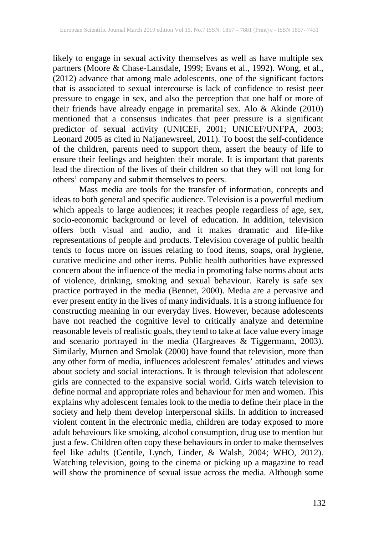likely to engage in sexual activity themselves as well as have multiple sex partners (Moore & Chase-Lansdale, 1999; Evans et al., 1992). Wong, et al., (2012) advance that among male adolescents, one of the significant factors that is associated to sexual intercourse is lack of confidence to resist peer pressure to engage in sex, and also the perception that one half or more of their friends have already engage in premarital sex. Alo & Akinde (2010) mentioned that a consensus indicates that peer pressure is a significant predictor of sexual activity (UNICEF, 2001; UNICEF/UNFPA, 2003; Leonard 2005 as cited in Naijanewsreel, 2011). To boost the self-confidence of the children, parents need to support them, assert the beauty of life to ensure their feelings and heighten their morale. It is important that parents lead the direction of the lives of their children so that they will not long for others' company and submit themselves to peers.

Mass media are tools for the transfer of information, concepts and ideas to both general and specific audience. Television is a powerful medium which appeals to large audiences; it reaches people regardless of age, sex, socio-economic background or level of education. In addition, television offers both visual and audio, and it makes dramatic and life-like representations of people and products. Television coverage of public health tends to focus more on issues relating to food items, soaps, oral hygiene, curative medicine and other items. Public health authorities have expressed concern about the influence of the media in promoting false norms about acts of violence, drinking, smoking and sexual behaviour. Rarely is safe sex practice portrayed in the media (Bennet, 2000). Media are a pervasive and ever present entity in the lives of many individuals. It is a strong influence for constructing meaning in our everyday lives. However, because adolescents have not reached the cognitive level to critically analyze and determine reasonable levels of realistic goals, they tend to take at face value every image and scenario portrayed in the media (Hargreaves & Tiggermann, 2003). Similarly, Murnen and Smolak (2000) have found that television, more than any other form of media, influences adolescent females' attitudes and views about society and social interactions. It is through television that adolescent girls are connected to the expansive social world. Girls watch television to define normal and appropriate roles and behaviour for men and women. This explains why adolescent females look to the media to define their place in the society and help them develop interpersonal skills. In addition to increased violent content in the electronic media, children are today exposed to more adult behaviours like smoking, alcohol consumption, drug use to mention but just a few. Children often copy these behaviours in order to make themselves feel like adults (Gentile, Lynch, Linder, & Walsh, 2004; WHO, 2012). Watching television, going to the cinema or picking up a magazine to read will show the prominence of sexual issue across the media. Although some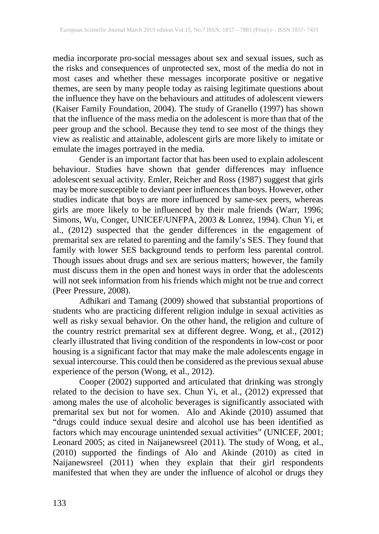media incorporate pro-social messages about sex and sexual issues, such as the risks and consequences of unprotected sex, most of the media do not in most cases and whether these messages incorporate positive or negative themes, are seen by many people today as raising legitimate questions about the influence they have on the behaviours and attitudes of adolescent viewers (Kaiser Family Foundation, 2004). The study of Granello (1997) has shown that the influence of the mass media on the adolescent is more than that of the peer group and the school. Because they tend to see most of the things they view as realistic and attainable, adolescent girls are more likely to imitate or emulate the images portrayed in the media.

Gender is an important factor that has been used to explain adolescent behaviour. Studies have shown that gender differences may influence adolescent sexual activity. Emler, Reicher and Ross (1987) suggest that girls may be more susceptible to deviant peer influences than boys. However, other studies indicate that boys are more influenced by same-sex peers, whereas girls are more likely to be influenced by their male friends (Warr, 1996; Simons, Wu, Conger, UNICEF/UNFPA, 2003 & Lonrez, 1994). Chun Yi, et al., (2012) suspected that the gender differences in the engagement of premarital sex are related to parenting and the family's SES. They found that family with lower SES background tends to perform less parental control. Though issues about drugs and sex are serious matters; however, the family must discuss them in the open and honest ways in order that the adolescents will not seek information from his friends which might not be true and correct (Peer Pressure, 2008).

Adhikari and Tamang (2009) showed that substantial proportions of students who are practicing different religion indulge in sexual activities as well as risky sexual behavior. On the other hand, the religion and culture of the country restrict premarital sex at different degree. Wong, et al., (2012) clearly illustrated that living condition of the respondents in low-cost or poor housing is a significant factor that may make the male adolescents engage in sexual intercourse. This could then be considered as the previous sexual abuse experience of the person (Wong, et al., 2012).

Cooper (2002) supported and articulated that drinking was strongly related to the decision to have sex. Chun Yi, et al., (2012) expressed that among males the use of alcoholic beverages is significantly associated with premarital sex but not for women. Alo and Akinde (2010) assumed that "drugs could induce sexual desire and alcohol use has been identified as factors which may encourage unintended sexual activities" (UNICEF, 2001; Leonard 2005; as cited in Naijanewsreel (2011). The study of Wong, et al., (2010) supported the findings of Alo and Akinde (2010) as cited in Naijanewsreel (2011) when they explain that their girl respondents manifested that when they are under the influence of alcohol or drugs they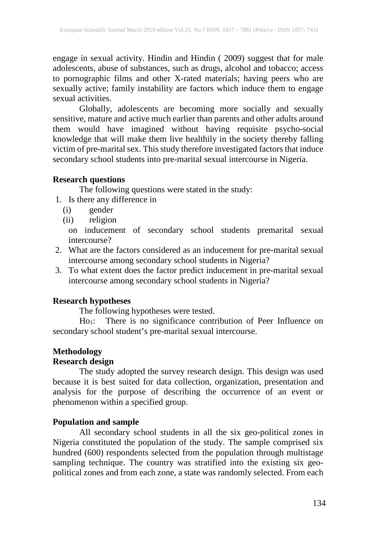engage in sexual activity. Hindin and Hindin ( 2009) suggest that for male adolescents, abuse of substances, such as drugs, alcohol and tobacco; access to pornographic films and other X-rated materials; having peers who are sexually active; family instability are factors which induce them to engage sexual activities.

Globally, adolescents are becoming more socially and sexually sensitive, mature and active much earlier than parents and other adults around them would have imagined without having requisite psycho-social knowledge that will make them live healthily in the society thereby falling victim of pre-marital sex. This study therefore investigated factors that induce secondary school students into pre-marital sexual intercourse in Nigeria.

### **Research questions**

The following questions were stated in the study:

- 1. Is there any difference in
	- (i) gender
	- (ii) religion

on inducement of secondary school students premarital sexual intercourse?

- 2. What are the factors considered as an inducement for pre-marital sexual intercourse among secondary school students in Nigeria?
- 3. To what extent does the factor predict inducement in pre-marital sexual intercourse among secondary school students in Nigeria?

# **Research hypotheses**

The following hypotheses were tested.

Ho<sub>1</sub>: There is no significance contribution of Peer Influence on secondary school student's pre-marital sexual intercourse.

# **Methodology**

# **Research design**

The study adopted the survey research design. This design was used because it is best suited for data collection, organization, presentation and analysis for the purpose of describing the occurrence of an event or phenomenon within a specified group.

# **Population and sample**

All secondary school students in all the six geo-political zones in Nigeria constituted the population of the study. The sample comprised six hundred (600) respondents selected from the population through multistage sampling technique. The country was stratified into the existing six geopolitical zones and from each zone, a state was randomly selected. From each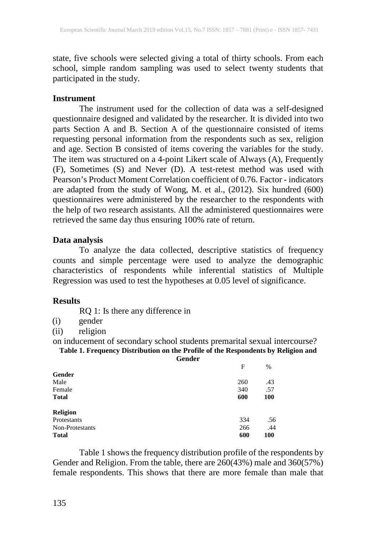state, five schools were selected giving a total of thirty schools. From each school, simple random sampling was used to select twenty students that participated in the study.

### **Instrument**

The instrument used for the collection of data was a self-designed questionnaire designed and validated by the researcher. It is divided into two parts Section A and B. Section A of the questionnaire consisted of items requesting personal information from the respondents such as sex, religion and age. Section B consisted of items covering the variables for the study. The item was structured on a 4-point Likert scale of Always (A), Frequently (F), Sometimes (S) and Never (D). A test-retest method was used with Pearson's Product Moment Correlation coefficient of 0.76. Factor - indicators are adapted from the study of Wong, M. et al., (2012). Six hundred (600) questionnaires were administered by the researcher to the respondents with the help of two research assistants. All the administered questionnaires were retrieved the same day thus ensuring 100% rate of return.

### **Data analysis**

To analyze the data collected, descriptive statistics of frequency counts and simple percentage were used to analyze the demographic characteristics of respondents while inferential statistics of Multiple Regression was used to test the hypotheses at 0.05 level of significance.

### **Results**

RQ 1: Is there any difference in

(i) gender

(ii) religion

on inducement of secondary school students premarital sexual intercourse? **Table 1. Frequency Distribution on the Profile of the Respondents by Religion and** 

**Gender**

|                 | F   | $\%$ |
|-----------------|-----|------|
| Gender          |     |      |
| Male            | 260 | .43  |
| Female          | 340 | .57  |
| <b>Total</b>    | 600 | 100  |
| <b>Religion</b> |     |      |
| Protestants     | 334 | .56  |
| Non-Protestants | 266 | .44  |
| <b>Total</b>    | 600 | 100  |

Table 1 shows the frequency distribution profile of the respondents by Gender and Religion. From the table, there are 260(43%) male and 360(57%) female respondents. This shows that there are more female than male that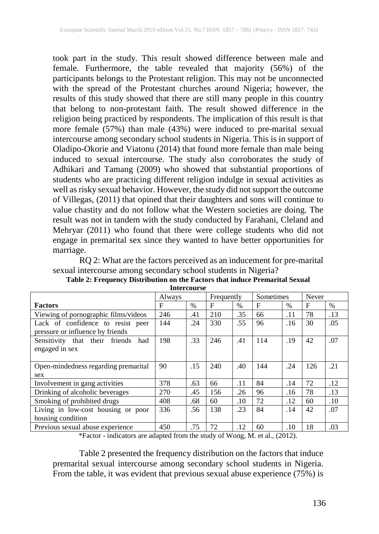took part in the study. This result showed difference between male and female. Furthermore, the table revealed that majority (56%) of the participants belongs to the Protestant religion. This may not be unconnected with the spread of the Protestant churches around Nigeria; however, the results of this study showed that there are still many people in this country that belong to non-protestant faith. The result showed difference in the religion being practiced by respondents. The implication of this result is that more female (57%) than male (43%) were induced to pre-marital sexual intercourse among secondary school students in Nigeria. This is in support of Oladipo-Okorie and Viatonu (2014) that found more female than male being induced to sexual intercourse. The study also corroborates the study of Adhikari and Tamang (2009) who showed that substantial proportions of students who are practicing different religion indulge in sexual activities as well as risky sexual behavior. However, the study did not support the outcome of Villegas, (2011) that opined that their daughters and sons will continue to value chastity and do not follow what the Western societies are doing. The result was not in tandem with the study conducted by Farahani, Cleland and Mehryar (2011) who found that there were college students who did not engage in premarital sex since they wanted to have better opportunities for marriage.

RQ 2: What are the factors perceived as an inducement for pre-marital sexual intercourse among secondary school students in Nigeria?

|                                                                       | Always |      | Frequently |      | Sometimes   |      | Never |      |
|-----------------------------------------------------------------------|--------|------|------------|------|-------------|------|-------|------|
| <b>Factors</b>                                                        | F      | $\%$ | F          | $\%$ | $\mathbf F$ | $\%$ | F     | $\%$ |
| Viewing of pornographic films/videos                                  | 246    | .41  | 210        | .35  | 66          | .11  | 78    | .13  |
| Lack of confidence to resist peer<br>pressure or influence by friends | 144    | .24  | 330        | .55  | 96          | .16  | 30    | .05  |
| Sensitivity that their friends<br>had<br>engaged in sex               | 198    | .33  | 246        | .41  | 114         | .19  | 42    | .07  |
| Open-mindedness regarding premarital<br>sex                           | 90     | .15  | 240        | .40  | 144         | .24  | 126   | .21  |
| Involvement in gang activities                                        | 378    | .63  | 66         | .11  | 84          | .14  | 72    | .12  |
| Drinking of alcoholic beverages                                       | 270    | .45  | 156        | .26  | 96          | .16  | 78    | .13  |
| Smoking of prohibited drugs                                           | 408    | .68  | 60         | .10  | 72          | .12  | 60    | .10  |
| Living in low-cost housing or poor<br>housing condition               | 336    | .56  | 138        | .23  | 84          | .14  | 42    | .07  |
| Previous sexual abuse experience                                      | 450    | .75  | 72         | .12  | 60          | .10  | 18    | .03  |

**Table 2: Frequency Distribution on the Factors that induce Premarital Sexual Intercourse**

\*Factor - indicators are adapted from the study of Wong, M. et al., (2012).

Table 2 presented the frequency distribution on the factors that induce premarital sexual intercourse among secondary school students in Nigeria. From the table, it was evident that previous sexual abuse experience (75%) is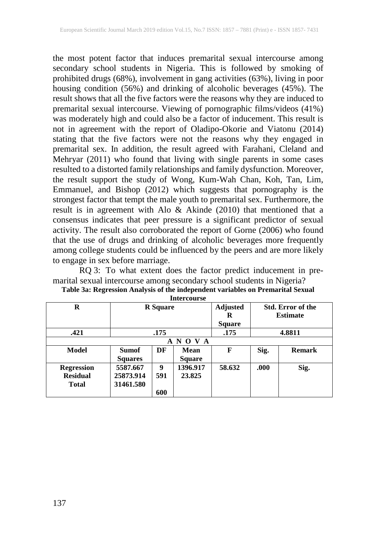the most potent factor that induces premarital sexual intercourse among secondary school students in Nigeria. This is followed by smoking of prohibited drugs (68%), involvement in gang activities (63%), living in poor housing condition (56%) and drinking of alcoholic beverages (45%). The result shows that all the five factors were the reasons why they are induced to premarital sexual intercourse. Viewing of pornographic films/videos (41%) was moderately high and could also be a factor of inducement. This result is not in agreement with the report of Oladipo-Okorie and Viatonu (2014) stating that the five factors were not the reasons why they engaged in premarital sex. In addition, the result agreed with Farahani, Cleland and Mehryar (2011) who found that living with single parents in some cases resulted to a distorted family relationships and family dysfunction. Moreover, the result support the study of Wong, Kum-Wah Chan, Koh, Tan, Lim, Emmanuel, and Bishop (2012) which suggests that pornography is the strongest factor that tempt the male youth to premarital sex. Furthermore, the result is in agreement with Alo & Akinde (2010) that mentioned that a consensus indicates that peer pressure is a significant predictor of sexual activity. The result also corroborated the report of Gorne (2006) who found that the use of drugs and drinking of alcoholic beverages more frequently among college students could be influenced by the peers and are more likely to engage in sex before marriage.

RQ 3: To what extent does the factor predict inducement in premarital sexual intercourse among secondary school students in Nigeria? **Table 3a: Regression Analysis of the independent variables on Premarital Sexual**

| R                                                    | <b>R</b> Square                    |                 |                       | <b>Adjusted</b><br>R<br><b>Square</b> | <b>Std. Error of the</b><br><b>Estimate</b> |               |  |
|------------------------------------------------------|------------------------------------|-----------------|-----------------------|---------------------------------------|---------------------------------------------|---------------|--|
| .421                                                 |                                    | .175            |                       | .175                                  | 4.8811                                      |               |  |
| $\mathbf{O} \mathbf{V}$<br>A N<br>A                  |                                    |                 |                       |                                       |                                             |               |  |
| <b>Model</b>                                         | <b>Sumof</b><br><b>Squares</b>     | DF              | Mean<br><b>Square</b> | F                                     | Sig.                                        | <b>Remark</b> |  |
| <b>Regression</b><br><b>Residual</b><br><b>Total</b> | 5587.667<br>25873.914<br>31461.580 | 9<br>591<br>600 | 1396.917<br>23.825    | 58.632                                | .000                                        | Sig.          |  |

**Intercourse**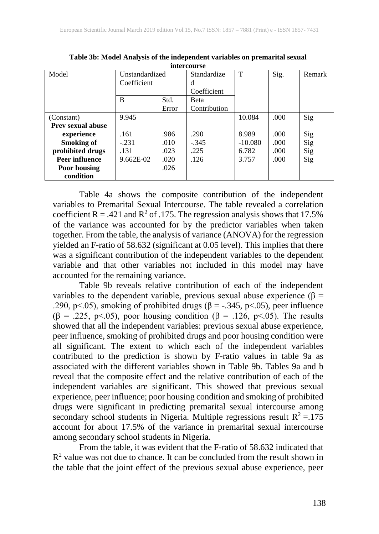| Model                    | Unstandardized |       | Standardize  | T         | Sig. | Remark |
|--------------------------|----------------|-------|--------------|-----------|------|--------|
|                          | Coefficient    |       | d            |           |      |        |
|                          |                |       | Coefficient  |           |      |        |
|                          | B              | Std.  | <b>B</b> eta |           |      |        |
|                          |                | Error | Contribution |           |      |        |
| (Constant)               | 9.945          |       |              | 10.084    | .000 | Sig    |
| <b>Prev sexual abuse</b> |                |       |              |           |      |        |
| experience               | .161           | .986  | .290         | 8.989     | .000 | Sig    |
| <b>Smoking of</b>        | $-.231$        | .010  | $-.345$      | $-10.080$ | .000 | Sig    |
| prohibited drugs         | .131           | .023  | .225         | 6.782     | .000 | Sig    |
| <b>Peer influence</b>    | $9.662E-02$    | .020  | .126         | 3.757     | .000 | Sig    |
| Poor housing             |                | .026  |              |           |      |        |
| condition                |                |       |              |           |      |        |

**Table 3b: Model Analysis of the independent variables on premarital sexual intercourse**

Table 4a shows the composite contribution of the independent variables to Premarital Sexual Intercourse. The table revealed a correlation coefficient R = .421 and R<sup>2</sup> of .175. The regression analysis shows that 17.5% of the variance was accounted for by the predictor variables when taken together. From the table, the analysis of variance (ANOVA) for the regression yielded an F-ratio of 58.632 (significant at 0.05 level). This implies that there was a significant contribution of the independent variables to the dependent variable and that other variables not included in this model may have accounted for the remaining variance.

Table 9b reveals relative contribution of each of the independent variables to the dependent variable, previous sexual abuse experience ( $\beta =$ .290, p<.05), smoking of prohibited drugs ( $\beta$  = -.345, p<.05), peer influence ( $\beta$  = .225, p<.05), poor housing condition ( $\beta$  = .126, p<.05). The results showed that all the independent variables: previous sexual abuse experience, peer influence, smoking of prohibited drugs and poor housing condition were all significant. The extent to which each of the independent variables contributed to the prediction is shown by F-ratio values in table 9a as associated with the different variables shown in Table 9b. Tables 9a and b reveal that the composite effect and the relative contribution of each of the independent variables are significant. This showed that previous sexual experience, peer influence; poor housing condition and smoking of prohibited drugs were significant in predicting premarital sexual intercourse among secondary school students in Nigeria. Multiple regressions result  $R^2 = 175$ account for about 17.5% of the variance in premarital sexual intercourse among secondary school students in Nigeria.

From the table, it was evident that the F-ratio of 58.632 indicated that  $R<sup>2</sup>$  value was not due to chance. It can be concluded from the result shown in the table that the joint effect of the previous sexual abuse experience, peer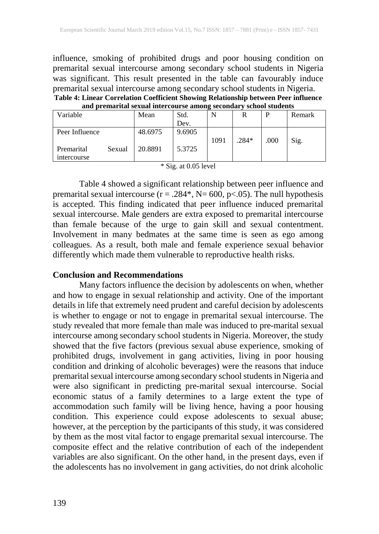influence, smoking of prohibited drugs and poor housing condition on premarital sexual intercourse among secondary school students in Nigeria was significant. This result presented in the table can favourably induce premarital sexual intercourse among secondary school students in Nigeria. **Table 4: Linear Correlation Coefficient Showing Relationship between Peer influence** 

| and premarital sexual intercourse among secondary school students |        |         |        |      |         |      |        |  |  |
|-------------------------------------------------------------------|--------|---------|--------|------|---------|------|--------|--|--|
| Variable                                                          |        | Mean    | Std.   | N    | R       |      | Remark |  |  |
|                                                                   |        |         | Dev.   |      |         |      |        |  |  |
| Peer Influence                                                    |        | 48.6975 | 9.6905 |      |         |      |        |  |  |
|                                                                   |        |         |        | 1091 | $.284*$ | .000 | Sig.   |  |  |
| Premarital                                                        | Sexual | 20.8891 | 5.3725 |      |         |      |        |  |  |
| intercourse                                                       |        |         |        |      |         |      |        |  |  |
|                                                                   |        |         |        |      |         |      |        |  |  |

|  |  |  |  | * Sig. at 0.05 level |
|--|--|--|--|----------------------|
|--|--|--|--|----------------------|

Table 4 showed a significant relationship between peer influence and premarital sexual intercourse ( $r = .284$ <sup>\*</sup>, N= 600, p<.05). The null hypothesis is accepted. This finding indicated that peer influence induced premarital sexual intercourse. Male genders are extra exposed to premarital intercourse than female because of the urge to gain skill and sexual contentment. Involvement in many bedmates at the same time is seen as ego among colleagues. As a result, both male and female experience sexual behavior differently which made them vulnerable to reproductive health risks.

### **Conclusion and Recommendations**

Many factors influence the decision by adolescents on when, whether and how to engage in sexual relationship and activity. One of the important details in life that extremely need prudent and careful decision by adolescents is whether to engage or not to engage in premarital sexual intercourse. The study revealed that more female than male was induced to pre-marital sexual intercourse among secondary school students in Nigeria. Moreover, the study showed that the five factors (previous sexual abuse experience, smoking of prohibited drugs, involvement in gang activities, living in poor housing condition and drinking of alcoholic beverages) were the reasons that induce premarital sexual intercourse among secondary school students in Nigeria and were also significant in predicting pre-marital sexual intercourse. Social economic status of a family determines to a large extent the type of accommodation such family will be living hence, having a poor housing condition. This experience could expose adolescents to sexual abuse; however, at the perception by the participants of this study, it was considered by them as the most vital factor to engage premarital sexual intercourse. The composite effect and the relative contribution of each of the independent variables are also significant. On the other hand, in the present days, even if the adolescents has no involvement in gang activities, do not drink alcoholic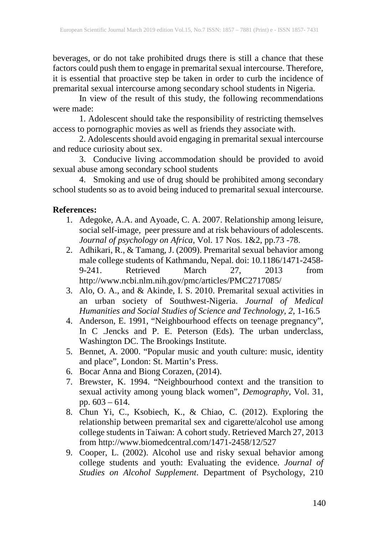beverages, or do not take prohibited drugs there is still a chance that these factors could push them to engage in premarital sexual intercourse. Therefore, it is essential that proactive step be taken in order to curb the incidence of premarital sexual intercourse among secondary school students in Nigeria.

In view of the result of this study, the following recommendations were made:

1. Adolescent should take the responsibility of restricting themselves access to pornographic movies as well as friends they associate with.

2. Adolescents should avoid engaging in premarital sexual intercourse and reduce curiosity about sex.

3. Conducive living accommodation should be provided to avoid sexual abuse among secondary school students

4. Smoking and use of drug should be prohibited among secondary school students so as to avoid being induced to premarital sexual intercourse.

# **References:**

- 1. Adegoke, A.A. and Ayoade, C. A. 2007. Relationship among leisure, social self-image, peer pressure and at risk behaviours of adolescents. *Journal of psychology on Africa*, Vol. 17 Nos. 1&2, pp.73 -78.
- 2. Adhikari, R., & Tamang, J. (2009). Premarital sexual behavior among male college students of Kathmandu, Nepal. doi: 10.1186/1471-2458- 9-241. Retrieved March 27, 2013 from http://www.ncbi.nlm.nih.gov/pmc/articles/PMC2717085/
- 3. Alo, O. A., and & Akinde, I. S. 2010. Premarital sexual activities in an urban society of Southwest-Nigeria. *Journal of Medical Humanities and Social Studies of Science and Technology, 2*, 1-16.5
- 4. Anderson, E. 1991, "Neighbourhood effects on teenage pregnancy", In C .Jencks and P. E. Peterson (Eds). The urban underclass, Washington DC. The Brookings Institute.
- 5. Bennet, A. 2000. "Popular music and youth culture: music, identity and place", London: St. Martin's Press.
- 6. Bocar Anna and Biong Corazen, (2014).
- 7. Brewster, K. 1994. "Neighbourhood context and the transition to sexual activity among young black women", *Demography*, Vol. 31, pp. 603 – 614.
- 8. Chun Yi, C., Ksobiech, K., & Chiao, C. (2012). Exploring the relationship between premarital sex and cigarette/alcohol use among college students in Taiwan: A cohort study. Retrieved March 27, 2013 from http://www.biomedcentral.com/1471-2458/12/527
- 9. Cooper, L. (2002). Alcohol use and risky sexual behavior among college students and youth: Evaluating the evidence. *Journal of Studies on Alcohol Supplement*. Department of Psychology, 210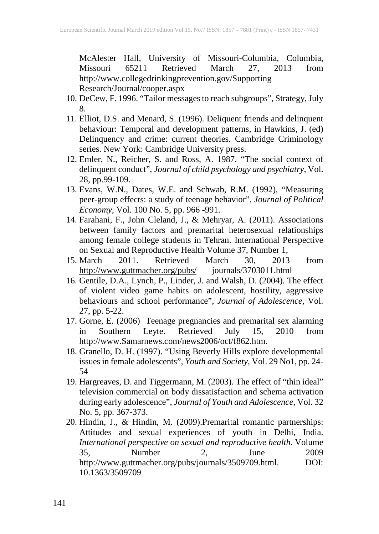McAlester Hall, University of Missouri-Columbia, Columbia, Missouri 65211 Retrieved March 27, 2013 from http://www.collegedrinkingprevention.gov/Supporting Research/Journal/cooper.aspx

- 10. DeCew, F. 1996. "Tailor messages to reach subgroups", Strategy, July 8.
- 11. Elliot, D.S. and Menard, S. (1996). Deliquent friends and delinquent behaviour: Temporal and development patterns, in Hawkins, J. (ed) Delinquency and crime: current theories. Cambridge Criminology series. New York: Cambridge University press.
- 12. Emler, N., Reicher, S. and Ross, A. 1987. "The social context of delinquent conduct", *Journal of child psychology and psychiatry*, Vol. 28, pp.99-109.
- 13. Evans, W.N., Dates, W.E. and Schwab, R.M. (1992), "Measuring peer-group effects: a study of teenage behavior", *Journal of Political Economy*, Vol. 100 No. 5, pp. 966 -991.
- 14. Farahani, F., John Cleland, J., & Mehryar, A. (2011). Associations between family factors and premarital heterosexual relationships among female college students in Tehran. International Perspective on Sexual and Reproductive Health Volume 37, Number 1,<br>March 2011. Retrieved March 30. 2013
- 15. March 2011. Retrieved March 30, 2013 from http://www.guttmacher.org/pubs/ journals/3703011.html
- 16. Gentile, D.A., Lynch, P., Linder, J. and Walsh, D. (2004). The effect of violent video game habits on adolescent, hostility, aggressive behaviours and school performance", *Journal of Adolescence,* Vol. 27, pp. 5-22.
- 17. Gorne, E. (2006) Teenage pregnancies and premarital sex alarming<br>in Southern Leyte. Retrieved July 15, 2010 from in Southern Leyte. Retrieved July 15, 2010 from http://www.Samarnews.com/news2006/oct/f862.htm.
- 18. Granello, D. H. (1997). "Using Beverly Hills explore developmental issues in female adolescents", *Youth and Society,* Vol. 29 No1, pp. 24- 54
- 19. Hargreaves, D. and Tiggermann, M. (2003). The effect of "thin ideal" television commercial on body dissatisfaction and schema activation during early adolescence", *Journal of Youth and Adolescence*, Vol. 32 No. 5, pp. 367-373.
- 20. Hindin, J., & Hindin, M. (2009).Premarital romantic partnerships: Attitudes and sexual experiences of youth in Delhi, India. *International perspective on sexual and reproductive health.* Volume 35, Number 2, June 2009 http://www.guttmacher.org/pubs/journals/3509709.html. DOI: 10.1363/3509709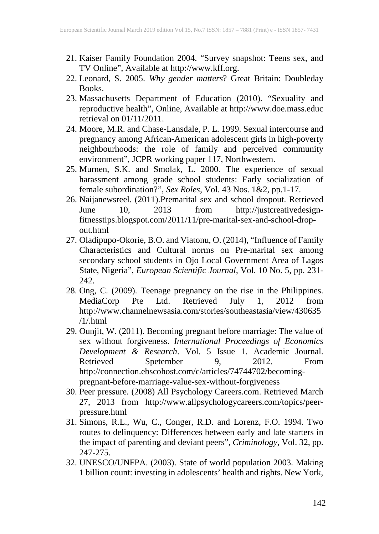- 21. Kaiser Family Foundation 2004. "Survey snapshot: Teens sex, and TV Online", Available at http://www.kff.org.
- 22. Leonard, S. 2005. *Why gender matters*? Great Britain: Doubleday Books.
- 23. Massachusetts Department of Education (2010). "Sexuality and reproductive health", Online, Available at http://www.doe.mass.educ retrieval on  $01/11/2011$ .
- 24. Moore, M.R. and Chase-Lansdale, P. L. 1999. Sexual intercourse and pregnancy among African-American adolescent girls in high-poverty neighbourhoods: the role of family and perceived community environment", JCPR working paper 117, Northwestern.
- 25. Murnen, S.K. and Smolak, L. 2000. The experience of sexual harassment among grade school students: Early socialization of female subordination?", *Sex Roles*, Vol. 43 Nos. 1&2, pp.1-17.
- 26. Naijanewsreel. (2011).Premarital sex and school dropout. Retrieved June 10, 2013 from http://justcreativedesignfitnesstips.blogspot.com/2011/11/pre-marital-sex-and-school-dropout.html
- 27. Oladipupo-Okorie, B.O. and Viatonu, O. (2014), "Influence of Family Characteristics and Cultural norms on Pre-marital sex among secondary school students in Ojo Local Government Area of Lagos State, Nigeria", *European Scientific Journal,* Vol. 10 No. 5, pp. 231- 242.
- 28. Ong, C. (2009). Teenage pregnancy on the rise in the Philippines. MediaCorp Pte Ltd. Retrieved July 1, 2012 from http://www.channelnewsasia.com/stories/southeastasia/view/430635 /1/.html
- 29. Ounjit, W. (2011). Becoming pregnant before marriage: The value of sex without forgiveness. *International Proceedings of Economics Development & Research*. Vol. 5 Issue 1. Academic Journal. Retrieved Spetember 9, 2012. From http://connection.ebscohost.com/c/articles/74744702/becomingpregnant-before-marriage-value-sex-without-forgiveness
- 30. Peer pressure. (2008) All Psychology Careers.com. Retrieved March 27, 2013 from http://www.allpsychologycareers.com/topics/peerpressure.html
- 31. Simons, R.L., Wu, C., Conger, R.D. and Lorenz, F.O. 1994. Two routes to delinquency: Differences between early and late starters in the impact of parenting and deviant peers", *Criminology*, Vol. 32, pp. 247-275.
- 32. UNESCO/UNFPA. (2003). State of world population 2003. Making 1 billion count: investing in adolescents' health and rights. New York,